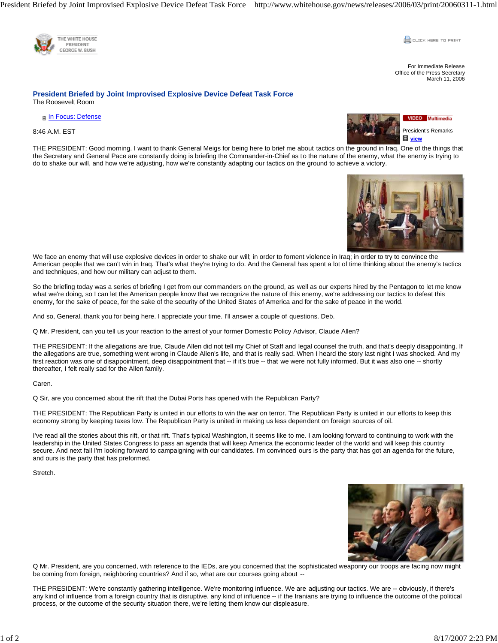

**COLLEK HERE TO PRINT** 

For Immediate Release Office of the Press Secretary March 11, 2006

## **President Briefed by Joint Improvised Explosive Device Defeat Task Force**  The Roosevelt Room

**In Focus: Defense** 

8:46 A.M. EST



THE PRESIDENT: Good morning. I want to thank General Meigs for being here to brief me about tactics on the ground in Iraq. One of the things that the Secretary and General Pace are constantly doing is briefing the Commander-in-Chief as to the nature of the enemy, what the enemy is trying to do to shake our will, and how we're adjusting, how we're constantly adapting our tactics on the ground to achieve a victory.



We face an enemy that will use explosive devices in order to shake our will; in order to foment violence in Iraq; in order to try to convince the American people that we can't win in Iraq. That's what they're trying to do. And the General has spent a lot of time thinking about the enemy's tactics and techniques, and how our military can adjust to them.

So the briefing today was a series of briefing I get from our commanders on the ground, as well as our experts hired by the Pentagon to let me know what we're doing, so I can let the American people know that we recognize the nature of this enemy, we're addressing our tactics to defeat this enemy, for the sake of peace, for the sake of the security of the United States of America and for the sake of peace in the world.

And so, General, thank you for being here. I appreciate your time. I'll answer a couple of questions. Deb.

Q Mr. President, can you tell us your reaction to the arrest of your former Domestic Policy Advisor, Claude Allen?

THE PRESIDENT: If the allegations are true, Claude Allen did not tell my Chief of Staff and legal counsel the truth, and that's deeply disappointing. If the allegations are true, something went wrong in Claude Allen's life, and that is really sad. When I heard the story last night I was shocked. And my first reaction was one of disappointment, deep disappointment that -- if it's true -- that we were not fully informed. But it was also one -- shortly thereafter, I felt really sad for the Allen family.

## Caren.

Q Sir, are you concerned about the rift that the Dubai Ports has opened with the Republican Party?

THE PRESIDENT: The Republican Party is united in our efforts to win the war on terror. The Republican Party is united in our efforts to keep this economy strong by keeping taxes low. The Republican Party is united in making us less dependent on foreign sources of oil.

I've read all the stories about this rift, or that rift. That's typical Washington, it seems like to me. I am looking forward to continuing to work with the leadership in the United States Congress to pass an agenda that will keep America the economic leader of the world and will keep this country secure. And next fall I'm looking forward to campaigning with our candidates. I'm convinced ours is the party that has got an agenda for the future, and ours is the party that has preformed.

Stretch.



Q Mr. President, are you concerned, with reference to the IEDs, are you concerned that the sophisticated weaponry our troops are facing now might be coming from foreign, neighboring countries? And if so, what are our courses going about --

THE PRESIDENT: We're constantly gathering intelligence. We're monitoring influence. We are adjusting our tactics. We are -- obviously, if there's any kind of influence from a foreign country that is disruptive, any kind of influence -- if the Iranians are trying to influence the outcome of the political process, or the outcome of the security situation there, we're letting them know our displeasure.